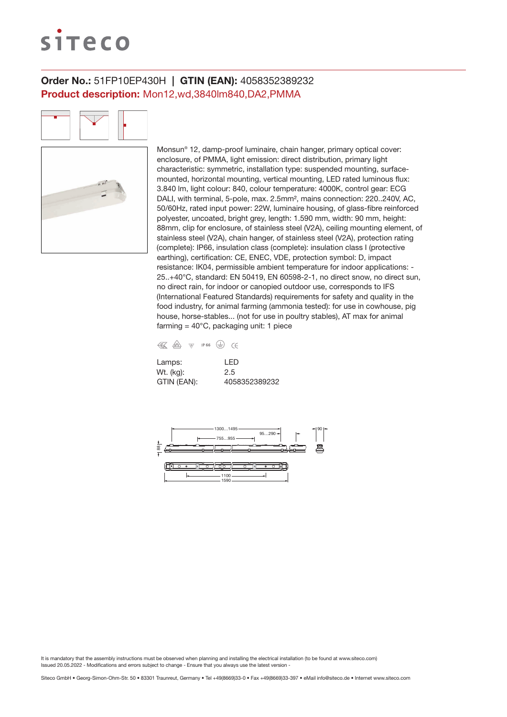# siteco

## Order No.: 51FP10EP430H | GTIN (EAN): 4058352389232 Product description: Mon12,wd,3840lm840,DA2,PMMA

Monsun® 12, damp-proof luminaire, chain hanger, primary optical cover: enclosure, of PMMA, light emission: direct distribution, primary light characteristic: symmetric, installation type: suspended mounting, surfacemounted, horizontal mounting, vertical mounting, LED rated luminous flux: 3.840 lm, light colour: 840, colour temperature: 4000K, control gear: ECG DALI, with terminal, 5-pole, max. 2.5mm², mains connection: 220..240V, AC, 50/60Hz, rated input power: 22W, luminaire housing, of glass-fibre reinforced polyester, uncoated, bright grey, length: 1.590 mm, width: 90 mm, height: 88mm, clip for enclosure, of stainless steel (V2A), ceiling mounting element, of stainless steel (V2A), chain hanger, of stainless steel (V2A), protection rating (complete): IP66, insulation class (complete): insulation class I (protective earthing), certification: CE, ENEC, VDE, protection symbol: D, impact resistance: IK04, permissible ambient temperature for indoor applications: - 25..+40°C, standard: EN 50419, EN 60598-2-1, no direct snow, no direct sun, no direct rain, for indoor or canopied outdoor use, corresponds to IFS (International Featured Standards) requirements for safety and quality in the food industry, for animal farming (ammonia tested): for use in cowhouse, pig house, horse-stables... (not for use in poultry stables), AT max for animal farming =  $40^{\circ}$ C, packaging unit: 1 piece

| € | / <sub>D</sub> V <sub>E</sub> | VD/ | IP 66 |  |
|---|-------------------------------|-----|-------|--|

| Lamps:      | I FD          |
|-------------|---------------|
| Wt. (kg):   | 2.5           |
| GTIN (EAN): | 4058352389232 |

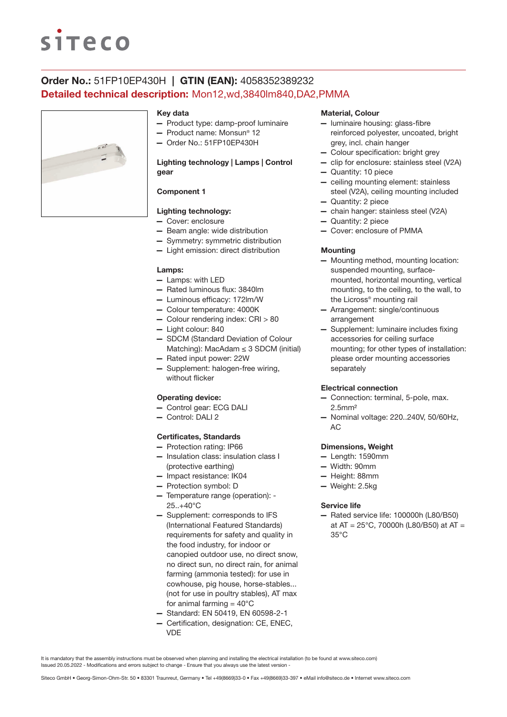# **siteco**

# Order No.: 51FP10EP430H | GTIN (EAN): 4058352389232 Detailed technical description: Mon12,wd,3840lm840,DA2,PMMA



#### Key data

- Product type: damp-proof luminaire
- Product name: Monsun® 12
- Order No.: 51FP10EP430H

## Lighting technology | Lamps | Control gear

## Component 1

## Lighting technology:

- Cover: enclosure
- Beam angle: wide distribution
- Symmetry: symmetric distribution
- Light emission: direct distribution

#### Lamps:

- Lamps: with LED
- Rated luminous flux: 3840lm
- Luminous efficacy: 172lm/W
- Colour temperature: 4000K
- Colour rendering index: CRI > 80
- Light colour: 840
- SDCM (Standard Deviation of Colour Matching): MacAdam  $\leq$  3 SDCM (initial)
- Rated input power: 22W
- Supplement: halogen-free wiring, without flicker

### Operating device:

- Control gear: ECG DALI
- Control: DALI 2

#### Certificates, Standards

- Protection rating: IP66
- Insulation class: insulation class I (protective earthing)
- Impact resistance: IK04
- Protection symbol: D
- Temperature range (operation): 25..+40°C
- Supplement: corresponds to IFS (International Featured Standards) requirements for safety and quality in the food industry, for indoor or canopied outdoor use, no direct snow, no direct sun, no direct rain, for animal farming (ammonia tested): for use in cowhouse, pig house, horse-stables... (not for use in poultry stables), AT max for animal farming  $= 40^{\circ}$ C
- Standard: EN 50419, EN 60598-2-1
- Certification, designation: CE, ENEC, VDE

#### Material, Colour

- luminaire housing: glass-fibre reinforced polyester, uncoated, bright grey, incl. chain hanger
- Colour specification: bright grey
- clip for enclosure: stainless steel (V2A)
- Quantity: 10 piece
- ceiling mounting element: stainless steel (V2A), ceiling mounting included
- Quantity: 2 piece
- chain hanger: stainless steel (V2A)
- Quantity: 2 piece
- Cover: enclosure of PMMA

#### **Mounting**

- Mounting method, mounting location: suspended mounting, surfacemounted, horizontal mounting, vertical mounting, to the ceiling, to the wall, to the Licross® mounting rail
- Arrangement: single/continuous arrangement
- Supplement: luminaire includes fixing accessories for ceiling surface mounting; for other types of installation: please order mounting accessories separately

#### Electrical connection

- Connection: terminal, 5-pole, max. 2.5mm²
- Nominal voltage: 220..240V, 50/60Hz, AC

#### Dimensions, Weight

- Length: 1590mm
- Width: 90mm
- Height: 88mm
- Weight: 2.5kg

#### Service life

— Rated service life: 100000h (L80/B50) at AT = 25°C, 70000h (L80/B50) at AT = 35°C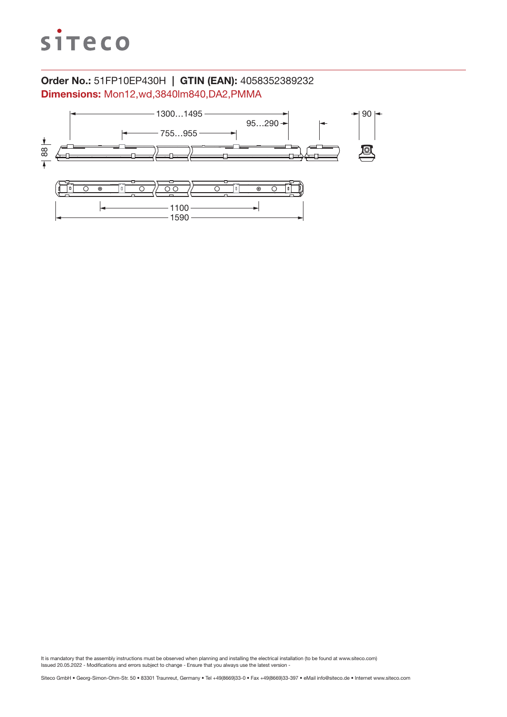

# Order No.: 51FP10EP430H | GTIN (EAN): 4058352389232 Dimensions: Mon12,wd,3840lm840,DA2,PMMA